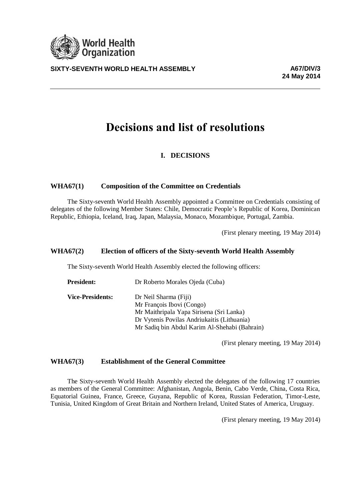

**SIXTY-SEVENTH WORLD HEALTH ASSEMBLY A67/DIV/3**

**24 May 2014**

# **Decisions and list of resolutions**

# **I. DECISIONS**

## **WHA67(1) Composition of the Committee on Credentials**

The Sixty-seventh World Health Assembly appointed a Committee on Credentials consisting of delegates of the following Member States: Chile, Democratic People's Republic of Korea, Dominican Republic, Ethiopia, Iceland, Iraq, Japan, Malaysia, Monaco, Mozambique, Portugal, Zambia.

(First plenary meeting, 19 May 2014)

#### **WHA67(2) Election of officers of the Sixty-seventh World Health Assembly**

The Sixty-seventh World Health Assembly elected the following officers:

| Dr Roberto Morales Ojeda (Cuba)               |
|-----------------------------------------------|
| Dr Neil Sharma (Fiji)                         |
| Mr François Ibovi (Congo)                     |
| Mr Maithripala Yapa Sirisena (Sri Lanka)      |
| Dr Vytenis Povilas Andriukaitis (Lithuania)   |
| Mr Sadiq bin Abdul Karim Al-Shehabi (Bahrain) |
|                                               |

(First plenary meeting, 19 May 2014)

## **WHA67(3) Establishment of the General Committee**

The Sixty-seventh World Health Assembly elected the delegates of the following 17 countries as members of the General Committee: Afghanistan, Angola, Benin, Cabo Verde, China, Costa Rica, Equatorial Guinea, France, Greece, Guyana, Republic of Korea, Russian Federation, Timor-Leste, Tunisia, United Kingdom of Great Britain and Northern Ireland, United States of America, Uruguay.

(First plenary meeting, 19 May 2014)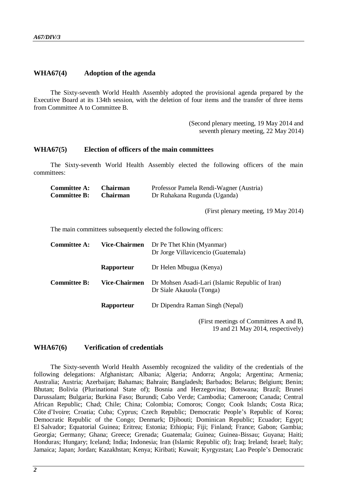#### **WHA67(4) Adoption of the agenda**

The Sixty-seventh World Health Assembly adopted the provisional agenda prepared by the Executive Board at its 134th session, with the deletion of four items and the transfer of three items from Committee A to Committee B.

> (Second plenary meeting, 19 May 2014 and seventh plenary meeting, 22 May 2014)

#### **WHA67(5) Election of officers of the main committees**

The Sixty-seventh World Health Assembly elected the following officers of the main committees:

| <b>Committee A:</b> | <b>Chairman</b> | Professor Pamela Rendi-Wagner (Austria) |
|---------------------|-----------------|-----------------------------------------|
| <b>Committee B:</b> | <b>Chairman</b> | Dr Ruhakana Rugunda (Uganda)            |

(First plenary meeting, 19 May 2014)

The main committees subsequently elected the following officers:

| <b>Committee A:</b> | <b>Vice-Chairmen</b> | Dr Pe Thet Khin (Myanmar)<br>Dr Jorge Villavicencio (Guatemala)             |
|---------------------|----------------------|-----------------------------------------------------------------------------|
|                     | Rapporteur           | Dr Helen Mbugua (Kenya)                                                     |
| <b>Committee B:</b> | <b>Vice-Chairmen</b> | Dr Mohsen Asadi-Lari (Islamic Republic of Iran)<br>Dr Siale Akauola (Tonga) |
|                     | Rapporteur           | Dr Dipendra Raman Singh (Nepal)                                             |
|                     |                      | (First meetings of Committees A and B,                                      |

19 and 21 May 2014, respectively)

#### **WHA67(6) Verification of credentials**

The Sixty-seventh World Health Assembly recognized the validity of the credentials of the following delegations: Afghanistan; Albania; Algeria; Andorra; Angola; Argentina; Armenia; Australia; Austria; Azerbaijan; Bahamas; Bahrain; Bangladesh; Barbados; Belarus; Belgium; Benin; Bhutan; Bolivia (Plurinational State of); Bosnia and Herzegovina; Botswana; Brazil; Brunei Darussalam; Bulgaria; Burkina Faso; Burundi; Cabo Verde; Cambodia; Cameroon; Canada; Central African Republic; Chad; Chile; China; Colombia; Comoros; Congo; Cook Islands; Costa Rica; Côte d'Ivoire; Croatia; Cuba; Cyprus; Czech Republic; Democratic People's Republic of Korea; Democratic Republic of the Congo; Denmark; Diibouti; Dominican Republic; Ecuador; Egypt; El Salvador; Equatorial Guinea; Eritrea; Estonia; Ethiopia; Fiji; Finland; France; Gabon; Gambia; Georgia; Germany; Ghana; Greece; Grenada; Guatemala; Guinea; Guinea-Bissau; Guyana; Haiti; Honduras; Hungary; Iceland; India; Indonesia; Iran (Islamic Republic of); Iraq; Ireland; Israel; Italy; Jamaica; Japan; Jordan; Kazakhstan; Kenya; Kiribati; Kuwait; Kyrgyzstan; Lao People's Democratic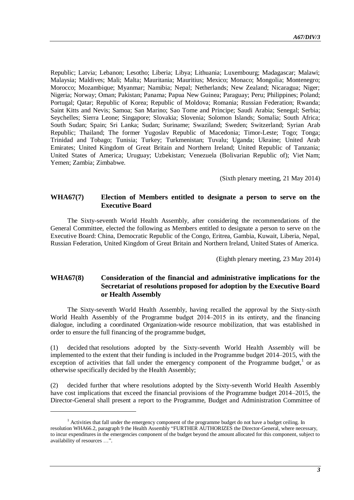Republic; Latvia; Lebanon; Lesotho; Liberia; Libya; Lithuania; Luxembourg; Madagascar; Malawi; Malaysia; Maldives; Mali; Malta; Mauritania; Mauritius; Mexico; Monaco; Mongolia; Montenegro; Morocco; Mozambique; Myanmar; Namibia; Nepal; Netherlands; New Zealand; Nicaragua; Niger; Nigeria; Norway; Oman; Pakistan; Panama; Papua New Guinea; Paraguay; Peru; Philippines; Poland; Portugal; Qatar; Republic of Korea; Republic of Moldova; Romania; Russian Federation; Rwanda; Saint Kitts and Nevis; Samoa; San Marino; Sao Tome and Principe; Saudi Arabia; Senegal; Serbia; Seychelles; Sierra Leone; Singapore; Slovakia; Slovenia; Solomon Islands; Somalia; South Africa; South Sudan; Spain; Sri Lanka; Sudan; Suriname; Swaziland; Sweden; Switzerland; Syrian Arab Republic; Thailand; The former Yugoslav Republic of Macedonia; Timor-Leste; Togo; Tonga; Trinidad and Tobago; Tunisia; Turkey; Turkmenistan; Tuvalu; Uganda; Ukraine; United Arab Emirates; United Kingdom of Great Britain and Northern Ireland; United Republic of Tanzania; United States of America; Uruguay; Uzbekistan; Venezuela (Bolivarian Republic of); Viet Nam; Yemen; Zambia; Zimbabwe.

(Sixth plenary meeting, 21 May 2014)

## **WHA67(7) Election of Members entitled to designate a person to serve on the Executive Board**

The Sixty-seventh World Health Assembly, after considering the recommendations of the General Committee, elected the following as Members entitled to designate a person to serve on the Executive Board: China, Democratic Republic of the Congo, Eritrea, Gambia, Kuwait, Liberia, Nepal, Russian Federation, United Kingdom of Great Britain and Northern Ireland, United States of America.

(Eighth plenary meeting, 23 May 2014)

## **WHA67(8) Consideration of the financial and administrative implications for the Secretariat of resolutions proposed for adoption by the Executive Board or Health Assembly**

The Sixty-seventh World Health Assembly, having recalled the approval by the Sixty-sixth World Health Assembly of the Programme budget 2014–2015 in its entirety, and the financing dialogue, including a coordinated Organization-wide resource mobilization, that was established in order to ensure the full financing of the programme budget,

(1) decided that resolutions adopted by the Sixty-seventh World Health Assembly will be implemented to the extent that their funding is included in the Programme budget 2014–2015, with the exception of activities that fall under the emergency component of the Programme budget,<sup>1</sup> or as otherwise specifically decided by the Health Assembly;

(2) decided further that where resolutions adopted by the Sixty-seventh World Health Assembly have cost implications that exceed the financial provisions of the Programme budget 2014–2015, the Director-General shall present a report to the Programme, Budget and Administration Committee of

l

 $<sup>1</sup>$  Activities that fall under the emergency component of the programme budget do not have a budget ceiling. In</sup> resolution WHA66.2, paragraph 9 the Health Assembly "FURTHER AUTHORIZES the Director-General, where necessary, to incur expenditures in the emergencies component of the budget beyond the amount allocated for this component, subject to availability of resources …".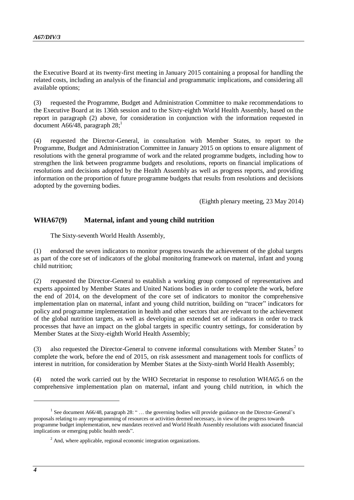the Executive Board at its twenty-first meeting in January 2015 containing a proposal for handling the related costs, including an analysis of the financial and programmatic implications, and considering all available options;

(3) requested the Programme, Budget and Administration Committee to make recommendations to the Executive Board at its 136th session and to the Sixty-eighth World Health Assembly, based on the report in paragraph (2) above, for consideration in conjunction with the information requested in document A66/48, paragraph  $28$ ;<sup>1</sup>

(4) requested the Director-General, in consultation with Member States, to report to the Programme, Budget and Administration Committee in January 2015 on options to ensure alignment of resolutions with the general programme of work and the related programme budgets, including how to strengthen the link between programme budgets and resolutions, reports on financial implications of resolutions and decisions adopted by the Health Assembly as well as progress reports, and providing information on the proportion of future programme budgets that results from resolutions and decisions adopted by the governing bodies.

(Eighth plenary meeting, 23 May 2014)

## **WHA67(9) Maternal, infant and young child nutrition**

The Sixty-seventh World Health Assembly,

(1) endorsed the seven indicators to monitor progress towards the achievement of the global targets as part of the core set of indicators of the global monitoring framework on maternal, infant and young child nutrition;

(2) requested the Director-General to establish a working group composed of representatives and experts appointed by Member States and United Nations bodies in order to complete the work, before the end of 2014, on the development of the core set of indicators to monitor the comprehensive implementation plan on maternal, infant and young child nutrition, building on "tracer" indicators for policy and programme implementation in health and other sectors that are relevant to the achievement of the global nutrition targets, as well as developing an extended set of indicators in order to track processes that have an impact on the global targets in specific country settings, for consideration by Member States at the Sixty-eighth World Health Assembly;

(3) also requested the Director-General to convene informal consultations with Member States<sup>2</sup> to complete the work, before the end of 2015, on risk assessment and management tools for conflicts of interest in nutrition, for consideration by Member States at the Sixty-ninth World Health Assembly;

(4) noted the work carried out by the WHO Secretariat in response to resolution WHA65.6 on the comprehensive implementation plan on maternal, infant and young child nutrition, in which the

1

<sup>&</sup>lt;sup>1</sup> See document A66/48, paragraph 28: " ... the governing bodies will provide guidance on the Director-General's proposals relating to any reprogramming of resources or activities deemed necessary, in view of the progress towards programme budget implementation, new mandates received and World Health Assembly resolutions with associated financial implications or emerging public health needs".

 $2$  And, where applicable, regional economic integration organizations.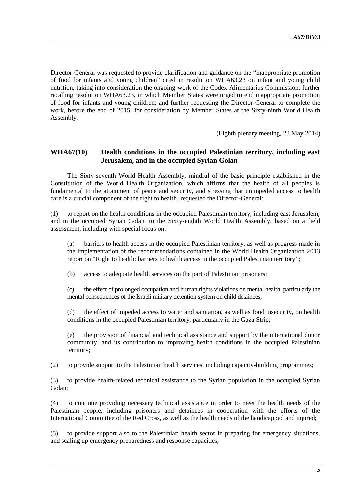Director-General was requested to provide clarification and guidance on the "inappropriate promotion of food for infants and young children" cited in resolution WHA63.23 on infant and young child nutrition, taking into consideration the ongoing work of the Codex Alimentarius Commission; further recalling resolution WHA63.23, in which Member States were urged to end inappropriate promotion of food for infants and young children; and further requesting the Director-General to complete the work, before the end of 2015, for consideration by Member States at the Sixty-ninth World Health Assembly.

(Eighth plenary meeting, 23 May 2014)

## **WHA67(10) Health conditions in the occupied Palestinian territory, including east Jerusalem, and in the occupied Syrian Golan**

The Sixty-seventh World Health Assembly, mindful of the basic principle established in the Constitution of the World Health Organization, which affirms that the health of all peoples is fundamental to the attainment of peace and security, and stressing that unimpeded access to health care is a crucial component of the right to health, requested the Director-General:

(1) to report on the health conditions in the occupied Palestinian territory, including east Jerusalem, and in the occupied Syrian Golan, to the Sixty-eighth World Health Assembly, based on a field assessment, including with special focus on:

(a) barriers to health access in the occupied Palestinian territory, as well as progress made in the implementation of the recommendations contained in the World Health Organization 2013 report on "Right to health: barriers to health access in the occupied Palestinian territory";

(b) access to adequate health services on the part of Palestinian prisoners;

(c) the effect of prolonged occupation and human rights violations on mental health, particularly the mental consequences of the Israeli military detention system on child detainees;

(d) the effect of impeded access to water and sanitation, as well as food insecurity, on health conditions in the occupied Palestinian territory, particularly in the Gaza Strip;

(e) the provision of financial and technical assistance and support by the international donor community, and its contribution to improving health conditions in the occupied Palestinian territory;

(2) to provide support to the Palestinian health services, including capacity-building programmes;

(3) to provide health-related technical assistance to the Syrian population in the occupied Syrian Golan;

(4) to continue providing necessary technical assistance in order to meet the health needs of the Palestinian people, including prisoners and detainees in cooperation with the efforts of the International Committee of the Red Cross, as well as the health needs of the handicapped and injured;

(5) to provide support also to the Palestinian health sector in preparing for emergency situations, and scaling up emergency preparedness and response capacities;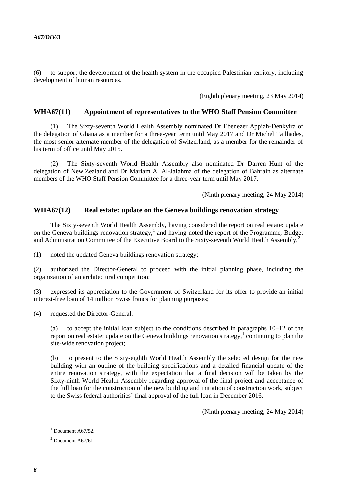(6) to support the development of the health system in the occupied Palestinian territory, including development of human resources.

(Eighth plenary meeting, 23 May 2014)

#### **WHA67(11) Appointment of representatives to the WHO Staff Pension Committee**

(1) The Sixty-seventh World Health Assembly nominated Dr Ebenezer Appiah-Denkyira of the delegation of Ghana as a member for a three-year term until May 2017 and Dr Michel Tailhades, the most senior alternate member of the delegation of Switzerland, as a member for the remainder of his term of office until May 2015.

(2) The Sixty-seventh World Health Assembly also nominated Dr Darren Hunt of the delegation of New Zealand and Dr Mariam A. Al-Jalahma of the delegation of Bahrain as alternate members of the WHO Staff Pension Committee for a three-year term until May 2017.

(Ninth plenary meeting, 24 May 2014)

#### **WHA67(12) Real estate: update on the Geneva buildings renovation strategy**

The Sixty-seventh World Health Assembly, having considered the report on real estate: update on the Geneva buildings renovation strategy,<sup>1</sup> and having noted the report of the Programme, Budget and Administration Committee of the Executive Board to the Sixty-seventh World Health Assembly.<sup>2</sup>

(1) noted the updated Geneva buildings renovation strategy;

(2) authorized the Director-General to proceed with the initial planning phase, including the organization of an architectural competition;

(3) expressed its appreciation to the Government of Switzerland for its offer to provide an initial interest-free loan of 14 million Swiss francs for planning purposes;

(4) requested the Director-General:

(a) to accept the initial loan subject to the conditions described in paragraphs 10–12 of the report on real estate: update on the Geneva buildings renovation strategy,  $1$  continuing to plan the site-wide renovation project;

(b) to present to the Sixty-eighth World Health Assembly the selected design for the new building with an outline of the building specifications and a detailed financial update of the entire renovation strategy, with the expectation that a final decision will be taken by the Sixty-ninth World Health Assembly regarding approval of the final project and acceptance of the full loan for the construction of the new building and initiation of construction work, subject to the Swiss federal authorities' final approval of the full loan in December 2016.

(Ninth plenary meeting, 24 May 2014)

1

 $1$  Document A67/52.

 $2$  Document A67/61.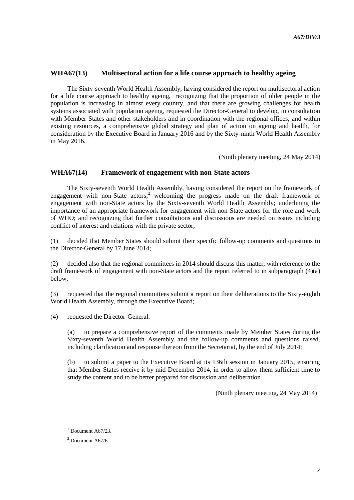## **WHA67(13) Multisectoral action for a life course approach to healthy ageing**

The Sixty-seventh World Health Assembly, having considered the report on multisectoral action for a life course approach to healthy ageing,<sup>1</sup> recognizing that the proportion of older people in the population is increasing in almost every country, and that there are growing challenges for health systems associated with population ageing, requested the Director-General to develop, in consultation with Member States and other stakeholders and in coordination with the regional offices, and within existing resources, a comprehensive global strategy and plan of action on ageing and health, for consideration by the Executive Board in January 2016 and by the Sixty-ninth World Health Assembly in May 2016.

(Ninth plenary meeting, 24 May 2014)

#### **WHA67(14) Framework of engagement with non-State actors**

The Sixty-seventh World Health Assembly, having considered the report on the framework of engagement with non-State actors;<sup>2</sup> welcoming the progress made on the draft framework of engagement with non-State actors by the Sixty-seventh World Health Assembly; underlining the importance of an appropriate framework for engagement with non-State actors for the role and work of WHO; and recognizing that further consultations and discussions are needed on issues including conflict of interest and relations with the private sector,

(1) decided that Member States should submit their specific follow-up comments and questions to the Director-General by 17 June 2014;

(2) decided also that the regional committees in 2014 should discuss this matter, with reference to the draft framework of engagement with non-State actors and the report referred to in subparagraph (4)(a) below;

(3) requested that the regional committees submit a report on their deliberations to the Sixty-eighth World Health Assembly, through the Executive Board;

(4) requested the Director-General:

(a) to prepare a comprehensive report of the comments made by Member States during the Sixty-seventh World Health Assembly and the follow-up comments and questions raised, including clarification and response thereon from the Secretariat, by the end of July 2014;

(b) to submit a paper to the Executive Board at its 136th session in January 2015, ensuring that Member States receive it by mid-December 2014, in order to allow them sufficient time to study the content and to be better prepared for discussion and deliberation.

(Ninth plenary meeting, 24 May 2014)

l

 $1$  Document A67/23.

 $2$  Document A67/6.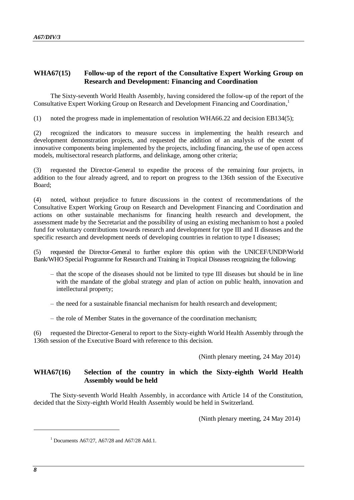# **WHA67(15) Follow-up of the report of the Consultative Expert Working Group on Research and Development: Financing and Coordination**

The Sixty-seventh World Health Assembly, having considered the follow-up of the report of the Consultative Expert Working Group on Research and Development Financing and Coordination, 1

(1) noted the progress made in implementation of resolution WHA66.22 and decision EB134(5);

(2) recognized the indicators to measure success in implementing the health research and development demonstration projects, and requested the addition of an analysis of the extent of innovative components being implemented by the projects, including financing, the use of open access models, multisectoral research platforms, and delinkage, among other criteria;

(3) requested the Director-General to expedite the process of the remaining four projects, in addition to the four already agreed, and to report on progress to the 136th session of the Executive Board;

(4) noted, without prejudice to future discussions in the context of recommendations of the Consultative Expert Working Group on Research and Development Financing and Coordination and actions on other sustainable mechanisms for financing health research and development, the assessment made by the Secretariat and the possibility of using an existing mechanism to host a pooled fund for voluntary contributions towards research and development for type III and II diseases and the specific research and development needs of developing countries in relation to type I diseases;

(5) requested the Director-General to further explore this option with the UNICEF/UNDP/World Bank/WHO Special Programme for Research and Training in Tropical Diseases recognizing the following:

- that the scope of the diseases should not be limited to type III diseases but should be in line with the mandate of the global strategy and plan of action on public health, innovation and intellectural property;
- the need for a sustainable financial mechanism for health research and development;
- the role of Member States in the governance of the coordination mechanism;

(6) requested the Director-General to report to the Sixty-eighth World Health Assembly through the 136th session of the Executive Board with reference to this decision.

(Ninth plenary meeting, 24 May 2014)

## **WHA67(16) Selection of the country in which the Sixty-eighth World Health Assembly would be held**

The Sixty-seventh World Health Assembly, in accordance with Article 14 of the Constitution, decided that the Sixty-eighth World Health Assembly would be held in Switzerland.

(Ninth plenary meeting, 24 May 2014)

-

<sup>&</sup>lt;sup>1</sup> Documents A67/27, A67/28 and A67/28 Add.1.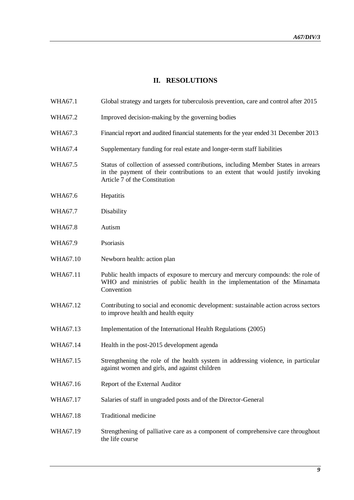# **II. RESOLUTIONS**

| WHA67.1 | Global strategy and targets for tuberculosis prevention, care and control after 2015 |  |  |  |
|---------|--------------------------------------------------------------------------------------|--|--|--|
|---------|--------------------------------------------------------------------------------------|--|--|--|

- WHA67.2 Improved decision-making by the governing bodies
- WHA67.3 Financial report and audited financial statements for the year ended 31 December 2013
- WHA67.4 Supplementary funding for real estate and longer-term staff liabilities
- WHA67.5 Status of collection of assessed contributions, including Member States in arrears in the payment of their contributions to an extent that would justify invoking Article 7 of the Constitution
- WHA67.6 Hepatitis
- WHA67.7 Disability
- WHA67.8 Autism
- WHA67.9 Psoriasis
- WHA67.10 Newborn health: action plan
- WHA67.11 Public health impacts of exposure to mercury and mercury compounds: the role of WHO and ministries of public health in the implementation of the Minamata Convention
- WHA67.12 Contributing to social and economic development: sustainable action across sectors to improve health and health equity
- WHA67.13 Implementation of the International Health Regulations (2005)
- WHA67.14 Health in the post-2015 development agenda
- WHA67.15 Strengthening the role of the health system in addressing violence, in particular against women and girls, and against children
- WHA67.16 Report of the External Auditor
- WHA67.17 Salaries of staff in ungraded posts and of the Director-General
- WHA67.18 Traditional medicine
- WHA67.19 Strengthening of palliative care as a component of comprehensive care throughout the life course